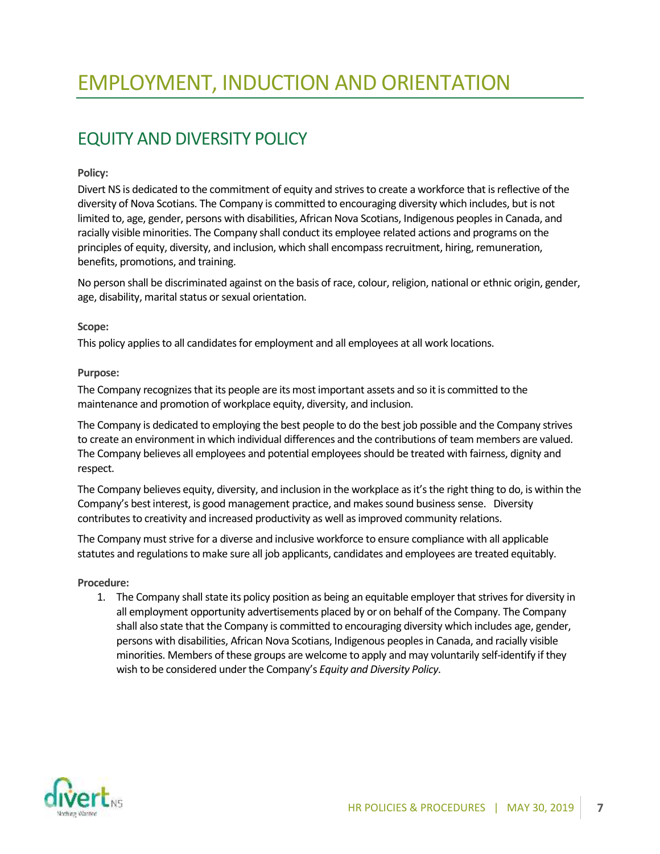# EQUITY AND DIVERSITY POLICY

## **Policy:**

Divert NS is dedicated to the commitment of equity and strives to create a workforce that is reflective of the diversity of Nova Scotians. The Company is committed to encouraging diversity which includes, but is not limited to, age, gender, persons with disabilities, African Nova Scotians, Indigenous peoples in Canada, and racially visible minorities. The Company shall conduct its employee related actions and programs on the principles of equity, diversity, and inclusion, which shall encompass recruitment, hiring, remuneration, benefits, promotions, and training.

No person shall be discriminated against on the basis of race, colour, religion, national or ethnic origin, gender, age, disability, marital status or sexual orientation.

### **Scope:**

This policy applies to all candidates for employment and all employees at all work locations.

### **Purpose:**

The Company recognizes that its people are its most important assets and so it is committed to the maintenance and promotion of workplace equity, diversity, and inclusion.

The Company is dedicated to employing the best people to do the best job possible and the Company strives to create an environment in which individual differences and the contributions of team members are valued. The Company believes all employees and potential employees should be treated with fairness, dignity and respect.

The Company believes equity, diversity, and inclusion in the workplace as it's the right thing to do, is within the Company's best interest, is good management practice, and makes sound business sense. Diversity contributes to creativity and increased productivity as well as improved community relations.

The Company must strive for a diverse and inclusive workforce to ensure compliance with all applicable statutes and regulations to make sure all job applicants, candidates and employees are treated equitably.

### **Procedure:**

1. The Company shall state its policy position as being an equitable employer that strives for diversity in all employment opportunity advertisements placed by or on behalf of the Company. The Company shall also state that the Company is committed to encouraging diversity which includes age, gender, persons with disabilities, African Nova Scotians, Indigenous peoples in Canada, and racially visible minorities. Members of these groups are welcome to apply and may voluntarily self-identify if they wish to be considered under the Company's *Equity and Diversity Policy*.